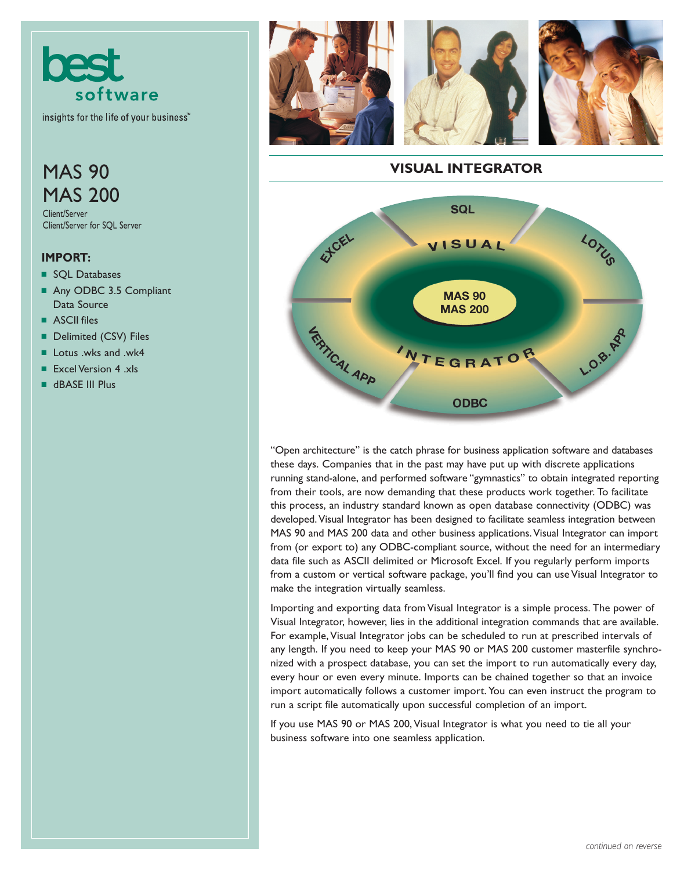

insights for the life of your business<sup>"</sup>

# **MAS 90** MAS 200

Client/Server Client/Server for SQL Server

#### **IMPORT:**

- SQL Databases
- Any ODBC 3.5 Compliant Data Source
- ASCII files
- Delimited (CSV) Files
- Lotus .wks and .wk4
- Excel Version 4 .xls
- dBASE III Plus







## **VISUAL INTEGRATOR**



"Open architecture" is the catch phrase for business application software and databases these days. Companies that in the past may have put up with discrete applications running stand-alone, and performed software "gymnastics" to obtain integrated reporting from their tools, are now demanding that these products work together. To facilitate this process, an industry standard known as open database connectivity (ODBC) was developed.Visual Integrator has been designed to facilitate seamless integration between MAS 90 and MAS 200 data and other business applications. Visual Integrator can import from (or export to) any ODBC-compliant source, without the need for an intermediary data file such as ASCII delimited or Microsoft Excel. If you regularly perform imports from a custom or vertical software package, you'll find you can use Visual Integrator to make the integration virtually seamless.

Importing and exporting data from Visual Integrator is a simple process. The power of Visual Integrator, however, lies in the additional integration commands that are available. For example, Visual Integrator jobs can be scheduled to run at prescribed intervals of any length. If you need to keep your MAS 90 or MAS 200 customer masterfile synchronized with a prospect database, you can set the import to run automatically every day, every hour or even every minute. Imports can be chained together so that an invoice import automatically follows a customer import. You can even instruct the program to run a script file automatically upon successful completion of an import.

If you use MAS 90 or MAS 200, Visual Integrator is what you need to tie all your business software into one seamless application.